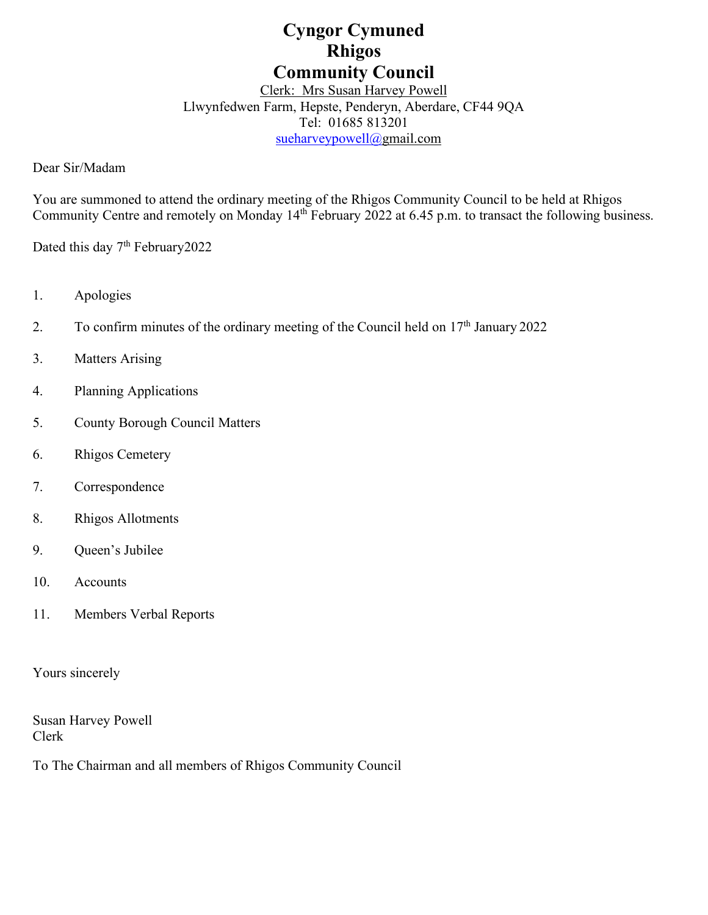# **Cyngor Cymuned Rhigos Community Council**

# Clerk: Mrs Susan Harvey Powell Llwynfedwen Farm, Hepste, Penderyn, Aberdare, CF44 9QA Tel: 01685 813201 [sueharveypowell@g](mailto:sharveypowell@comin-infants.co.uk)mail.com

Dear Sir/Madam

You are summoned to attend the ordinary meeting of the Rhigos Community Council to be held at Rhigos Community Centre and remotely on Monday 14<sup>th</sup> February 2022 at 6.45 p.m. to transact the following business.

Dated this day 7<sup>th</sup> February2022

- 1. Apologies
- 2. To confirm minutes of the ordinary meeting of the Council held on  $17<sup>th</sup>$  January 2022
- 3. Matters Arising
- 4. Planning Applications
- 5. County Borough Council Matters
- 6. Rhigos Cemetery
- 7. Correspondence
- 8. Rhigos Allotments
- 9. Queen's Jubilee
- 10. Accounts
- 11. Members Verbal Reports

Yours sincerely

Susan Harvey Powell Clerk

To The Chairman and all members of Rhigos Community Council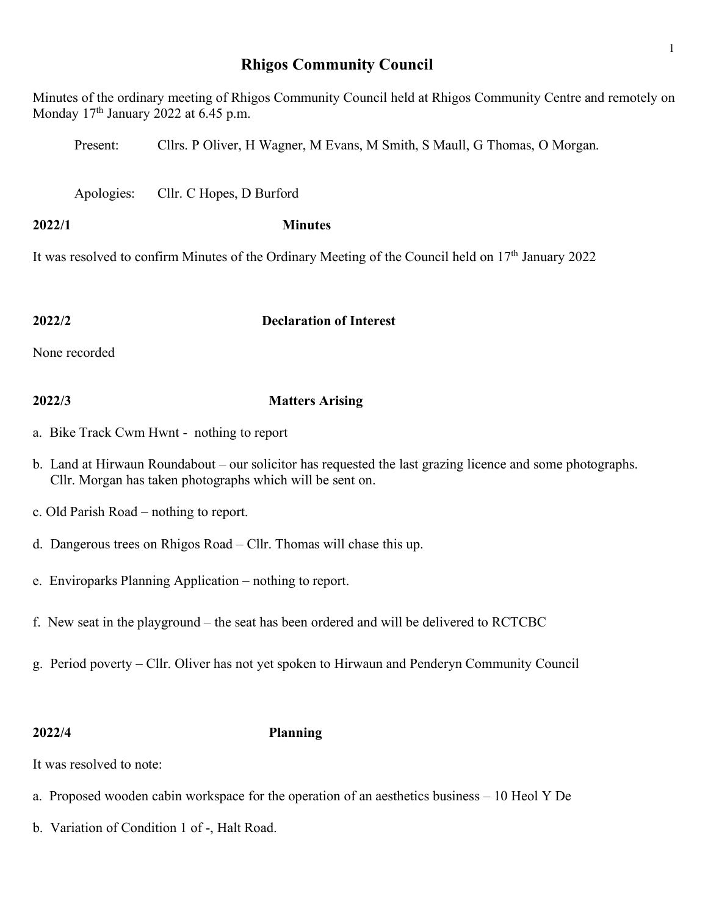# **Rhigos Community Council**

Minutes of the ordinary meeting of Rhigos Community Council held at Rhigos Community Centre and remotely on Monday  $17<sup>th</sup>$  January 2022 at 6.45 p.m.

Present: Cllrs. P Oliver, H Wagner, M Evans, M Smith, S Maull, G Thomas, O Morgan.

Apologies: Cllr. C Hopes, D Burford

# **2022/1 Minutes**

It was resolved to confirm Minutes of the Ordinary Meeting of the Council held on  $17<sup>th</sup>$  January 2022

# **2022/2 Declaration of Interest**

None recorded

# **2022/3 Matters Arising**

- a. Bike Track Cwm Hwnt nothing to report
- b. Land at Hirwaun Roundabout our solicitor has requested the last grazing licence and some photographs. Cllr. Morgan has taken photographs which will be sent on.
- c. Old Parish Road nothing to report.
- d. Dangerous trees on Rhigos Road Cllr. Thomas will chase this up.
- e. Enviroparks Planning Application nothing to report.
- f. New seat in the playground the seat has been ordered and will be delivered to RCTCBC
- g. Period poverty Cllr. Oliver has not yet spoken to Hirwaun and Penderyn Community Council

## **2022/4 Planning**

It was resolved to note:

- a. Proposed wooden cabin workspace for the operation of an aesthetics business 10 Heol Y De
- b. Variation of Condition 1 of -, Halt Road.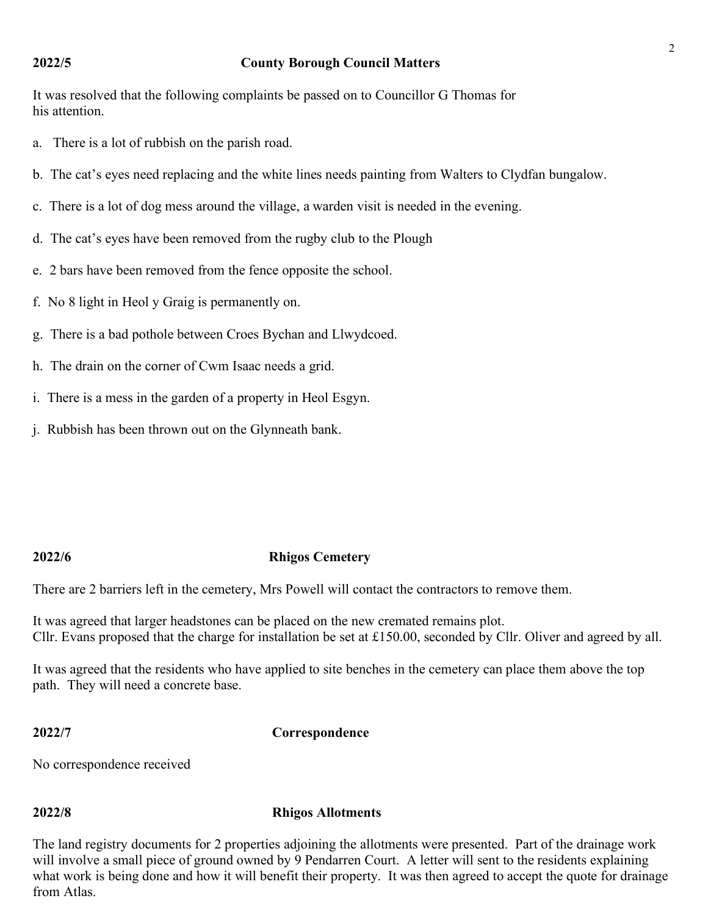### **2022/5 County Borough Council Matters**

It was resolved that the following complaints be passed on to Councillor G Thomas for his attention.

- a. There is a lot of rubbish on the parish road.
- b. The cat's eyes need replacing and the white lines needs painting from Walters to Clydfan bungalow.
- c. There is a lot of dog mess around the village, a warden visit is needed in the evening.
- d. The cat's eyes have been removed from the rugby club to the Plough
- e. 2 bars have been removed from the fence opposite the school.
- f. No 8 light in Heol y Graig is permanently on.
- g. There is a bad pothole between Croes Bychan and Llwydcoed.
- h. The drain on the corner of Cwm Isaac needs a grid.
- i. There is a mess in the garden of a property in Heol Esgyn.
- j. Rubbish has been thrown out on the Glynneath bank.

### **2022/6 Rhigos Cemetery**

There are 2 barriers left in the cemetery, Mrs Powell will contact the contractors to remove them.

It was agreed that larger headstones can be placed on the new cremated remains plot. Cllr. Evans proposed that the charge for installation be set at £150.00, seconded by Cllr. Oliver and agreed by all.

It was agreed that the residents who have applied to site benches in the cemetery can place them above the top path. They will need a concrete base.

**2022/7 Correspondence**

No correspondence received

### **2022/8 Rhigos Allotments**

The land registry documents for 2 properties adjoining the allotments were presented. Part of the drainage work will involve a small piece of ground owned by 9 Pendarren Court. A letter will sent to the residents explaining what work is being done and how it will benefit their property. It was then agreed to accept the quote for drainage from Atlas.